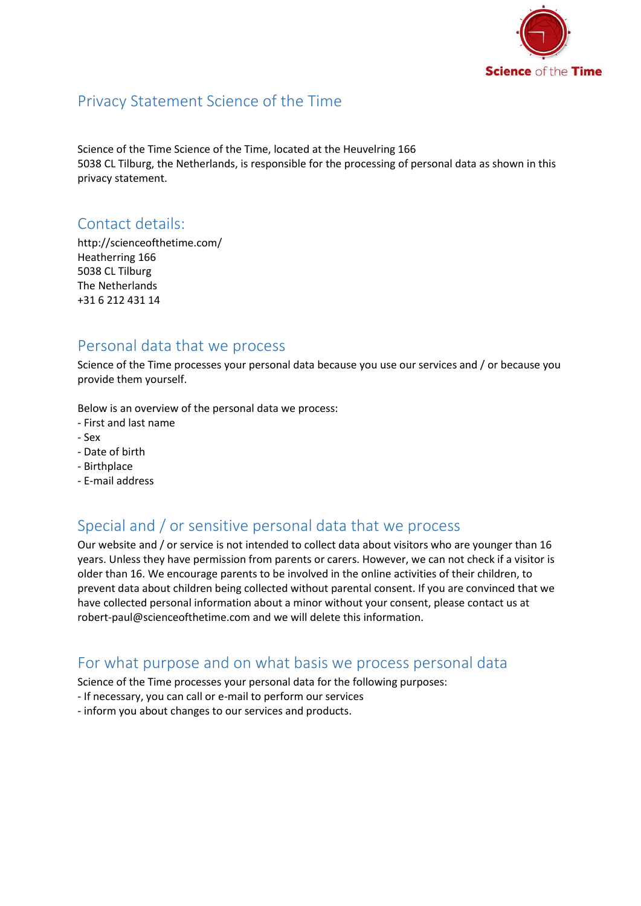

### Privacy Statement Science of the Time

Science of the Time Science of the Time, located at the Heuvelring 166 5038 CL Tilburg, the Netherlands, is responsible for the processing of personal data as shown in this privacy statement.

### Contact details:

http://scienceofthetime.com/ Heatherring 166 5038 CL Tilburg The Netherlands +31 6 212 431 14

### Personal data that we process

Science of the Time processes your personal data because you use our services and / or because you provide them yourself.

Below is an overview of the personal data we process:

- First and last name
- Sex
- Date of birth
- Birthplace
- E-mail address

# Special and / or sensitive personal data that we process

Our website and / or service is not intended to collect data about visitors who are younger than 16 years. Unless they have permission from parents or carers. However, we can not check if a visitor is older than 16. We encourage parents to be involved in the online activities of their children, to prevent data about children being collected without parental consent. If you are convinced that we have collected personal information about a minor without your consent, please contact us at robert-paul@scienceofthetime.com and we will delete this information.

#### For what purpose and on what basis we process personal data

Science of the Time processes your personal data for the following purposes:

- If necessary, you can call or e-mail to perform our services
- inform you about changes to our services and products.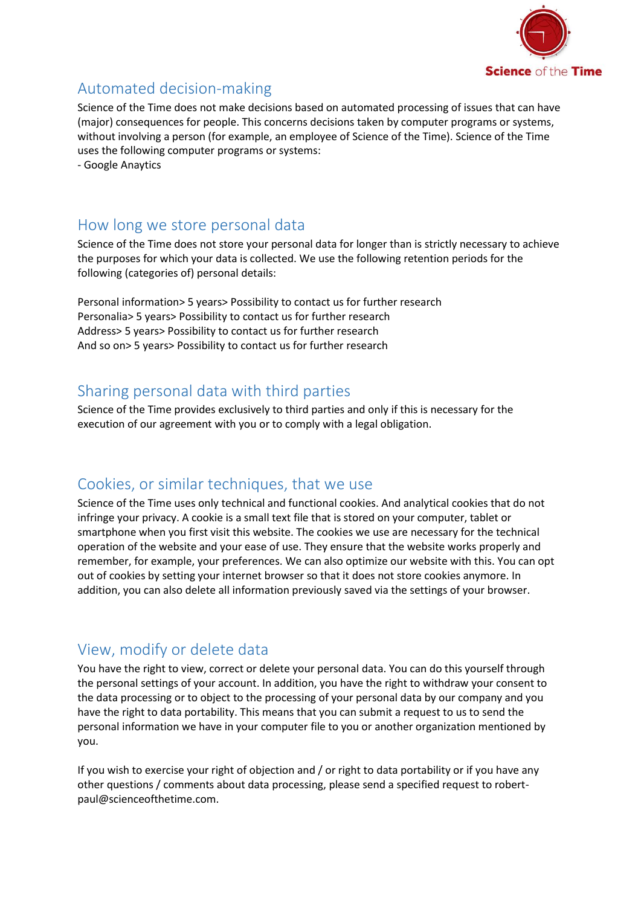

# Automated decision-making

Science of the Time does not make decisions based on automated processing of issues that can have (major) consequences for people. This concerns decisions taken by computer programs or systems, without involving a person (for example, an employee of Science of the Time). Science of the Time uses the following computer programs or systems: - Google Anaytics

How long we store personal data

Science of the Time does not store your personal data for longer than is strictly necessary to achieve the purposes for which your data is collected. We use the following retention periods for the following (categories of) personal details:

Personal information> 5 years> Possibility to contact us for further research Personalia> 5 years> Possibility to contact us for further research Address> 5 years> Possibility to contact us for further research And so on> 5 years> Possibility to contact us for further research

# Sharing personal data with third parties

Science of the Time provides exclusively to third parties and only if this is necessary for the execution of our agreement with you or to comply with a legal obligation.

# Cookies, or similar techniques, that we use

Science of the Time uses only technical and functional cookies. And analytical cookies that do not infringe your privacy. A cookie is a small text file that is stored on your computer, tablet or smartphone when you first visit this website. The cookies we use are necessary for the technical operation of the website and your ease of use. They ensure that the website works properly and remember, for example, your preferences. We can also optimize our website with this. You can opt out of cookies by setting your internet browser so that it does not store cookies anymore. In addition, you can also delete all information previously saved via the settings of your browser.

### View, modify or delete data

You have the right to view, correct or delete your personal data. You can do this yourself through the personal settings of your account. In addition, you have the right to withdraw your consent to the data processing or to object to the processing of your personal data by our company and you have the right to data portability. This means that you can submit a request to us to send the personal information we have in your computer file to you or another organization mentioned by you.

If you wish to exercise your right of objection and / or right to data portability or if you have any other questions / comments about data processing, please send a specified request to robertpaul@scienceofthetime.com.